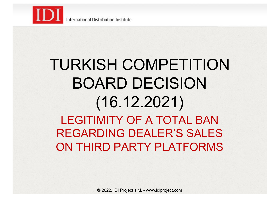

**International Distribution Institute** 

### TURKISH COMPETITION BOARD DECISION (16.12.2021) LEGITIMITY OF A TOTAL BAN REGARDING DEALER'S SALES ON THIRD PARTY PLATFORMS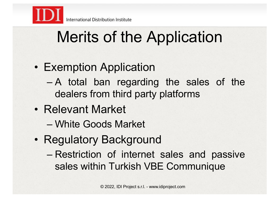

## Merits of the Application

- Exemption Application
	- A total ban regarding the sales of the dealers from third party platforms
- Relevant Market
	- White Goods Market
- Regulatory Background
	- Restriction of internet sales and passive sales within Turkish VBE Communique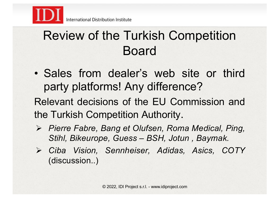

### Review of the Turkish Competition Board

• Sales from dealer's web site or third party platforms! Any difference?

Relevant decisions of the EU Commission and the Turkish Competition Authority.

- ! *Pierre Fabre, Bang et Olufsen, Roma Medical, Ping, Stihl, Bikeurope, Guess – BSH, Jotun , Baymak.*
- ! *Ciba Vision, Sennheiser, Adidas, Asics, COTY* (discussion..)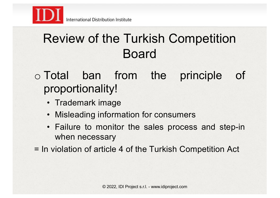

### Review of the Turkish Competition Board

#### o Total ban from the principle of proportionality!

- Trademark image
- Misleading information for consumers
- Failure to monitor the sales process and step-in when necessary
- = In violation of article 4 of the Turkish Competition Act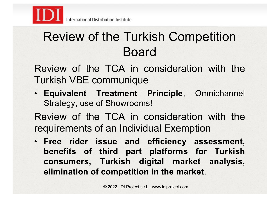

### Review of the Turkish Competition Board

Review of the TCA in consideration with the Turkish VBE communique

• **Equivalent Treatment Principle**, Omnichannel Strategy, use of Showrooms!

Review of the TCA in consideration with the requirements of an Individual Exemption

• **Free rider issue and efficiency assessment, benefits of third part platforms for Turkish consumers, Turkish digital market analysis, elimination of competition in the market**.